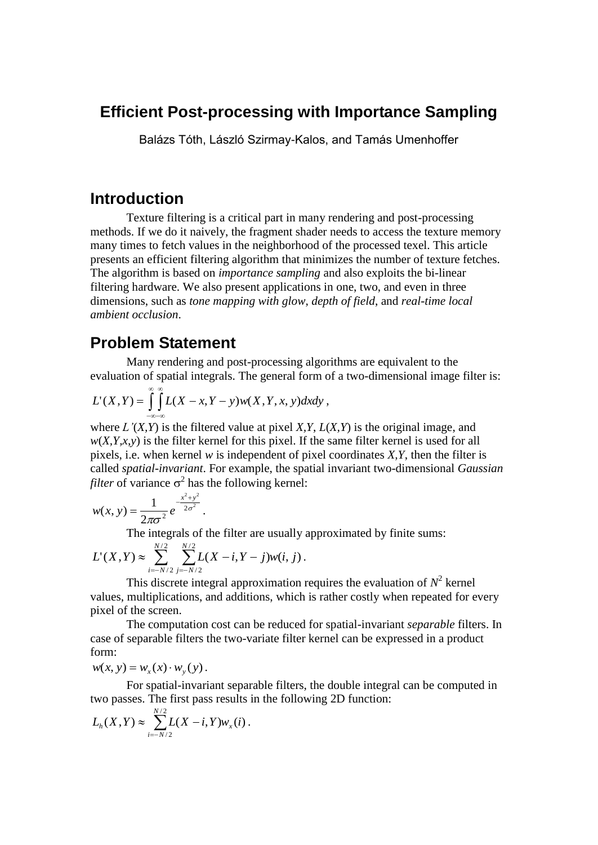### **Efficient Post-processing with Importance Sampling**

Balázs Tóth, László Szirmay-Kalos, and Tamás Umenhoffer

### **Introduction**

Texture filtering is a critical part in many rendering and post-processing methods. If we do it naively, the fragment shader needs to access the texture memory many times to fetch values in the neighborhood of the processed texel. This article presents an efficient filtering algorithm that minimizes the number of texture fetches. The algorithm is based on *importance sampling* and also exploits the bi-linear filtering hardware. We also present applications in one, two, and even in three dimensions, such as *tone mapping with glow*, *depth of field*, and *real-time local ambient occlusion*.

### **Problem Statement**

Many rendering and post-processing algorithms are equivalent to the evaluation of spatial integrals. The general form of a two-dimensional image filter is:

$$
L'(X,Y)=\int_{-\infty-\infty}^{\infty}\int_{-\infty}^{\infty}L(X-x,Y-y)w(X,Y,x,y)dxdy,
$$

where *L'*(*X,Y*) is the filtered value at pixel *X,Y*, *L*(*X,Y*) is the original image, and  $w(X, Y, x, y)$  is the filter kernel for this pixel. If the same filter kernel is used for all pixels, i.e. when kernel *w* is independent of pixel coordinates *X,Y*, then the filter is called *spatial-invariant*. For example, the spatial invariant two-dimensional *Gaussian filter* of variance  $\sigma^2$  has the following kernel:

$$
w(x, y) = \frac{1}{2\pi\sigma^2} e^{-\frac{x^2 + y^2}{2\sigma^2}}.
$$

The integrals of the filter are usually approximated by finite sums:

$$
L'(X,Y) \approx \sum_{i=-N/2}^{N/2} \sum_{j=-N/2}^{N/2} L(X-i, Y-j) w(i, j).
$$

This discrete integral approximation requires the evaluation of  $N^2$  kernel values, multiplications, and additions, which is rather costly when repeated for every pixel of the screen.

The computation cost can be reduced for spatial-invariant *separable* filters. In case of separable filters the two-variate filter kernel can be expressed in a product form:

 $w(x, y) = w_x(x) \cdot w_y(y)$ .

For spatial-invariant separable filters, the double integral can be computed in two passes. The first pass results in the following 2D function:

$$
L_h(X,Y) \approx \sum_{i=-N/2}^{N/2} L(X-i,Y) w_x(i).
$$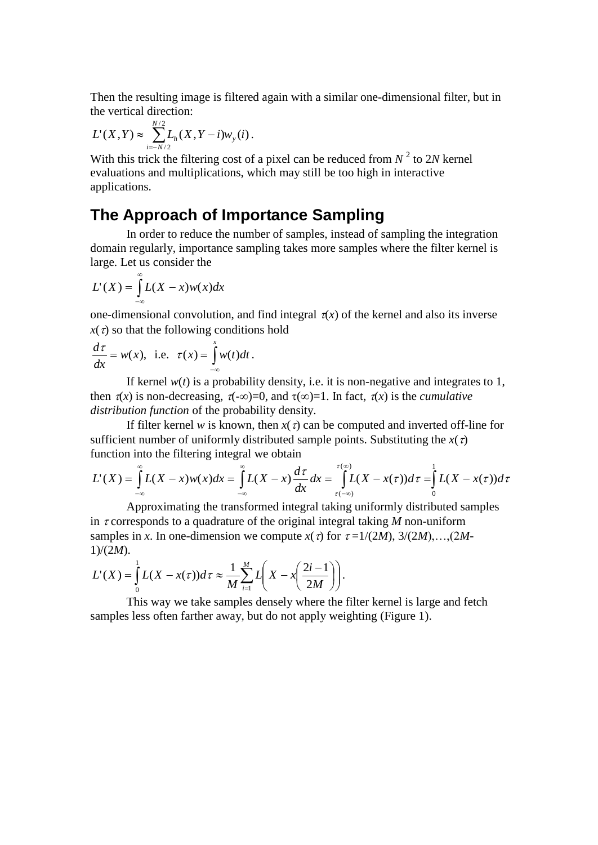Then the resulting image is filtered again with a similar one-dimensional filter, but in the vertical direction:

$$
L'(X,Y) \approx \sum_{i=-N/2}^{N/2} L_h(X,Y-i) w_y(i) \, .
$$

With this trick the filtering cost of a pixel can be reduced from  $N^2$  to 2*N* kernel evaluations and multiplications, which may still be too high in interactive applications.

## **The Approach of Importance Sampling**

In order to reduce the number of samples, instead of sampling the integration domain regularly, importance sampling takes more samples where the filter kernel is large. Let us consider the

$$
L'(X) = \int_{-\infty}^{\infty} L(X - x)w(x)dx
$$

one-dimensional convolution, and find integral  $\pi(x)$  of the kernel and also its inverse  $x(\tau)$  so that the following conditions hold

$$
\frac{d\tau}{dx} = w(x), \text{ i.e. } \tau(x) = \int_{-\infty}^{x} w(t)dt.
$$

If kernel  $w(t)$  is a probability density, i.e. it is non-negative and integrates to 1, then  $\pi(x)$  is non-decreasing,  $\pi(-\infty)=0$ , and  $\tau(\infty)=1$ . In fact,  $\pi(x)$  is the *cumulative distribution function* of the probability density.

If filter kernel *w* is known, then  $x(\tau)$  can be computed and inverted off-line for sufficient number of uniformly distributed sample points. Substituting the  $x(\tau)$ function into the filtering integral we obtain

$$
L'(X) = \int_{-\infty}^{\infty} L(X-x)w(x)dx = \int_{-\infty}^{\infty} L(X-x)\frac{d\tau}{dx}dx = \int_{\tau(-\infty)}^{\tau(\infty)} L(X-x(\tau))d\tau = \int_{0}^{1} L(X-x(\tau))d\tau
$$

Approximating the transformed integral taking uniformly distributed samples in  $\tau$  corresponds to a quadrature of the original integral taking *M* non-uniform samples in *x*. In one-dimension we compute  $x(\tau)$  for  $\tau = 1/(2M)$ ,  $3/(2M)$ , ...,  $(2M -$ 1)/(2*M*).

$$
L'(X) = \int_{0}^{1} L(X - x(\tau)) d\tau \approx \frac{1}{M} \sum_{i=1}^{M} L\left(X - x\left(\frac{2i-1}{2M}\right)\right).
$$

This way we take samples densely where the filter kernel is large and fetch samples less often farther away, but do not apply weighting (Figure 1).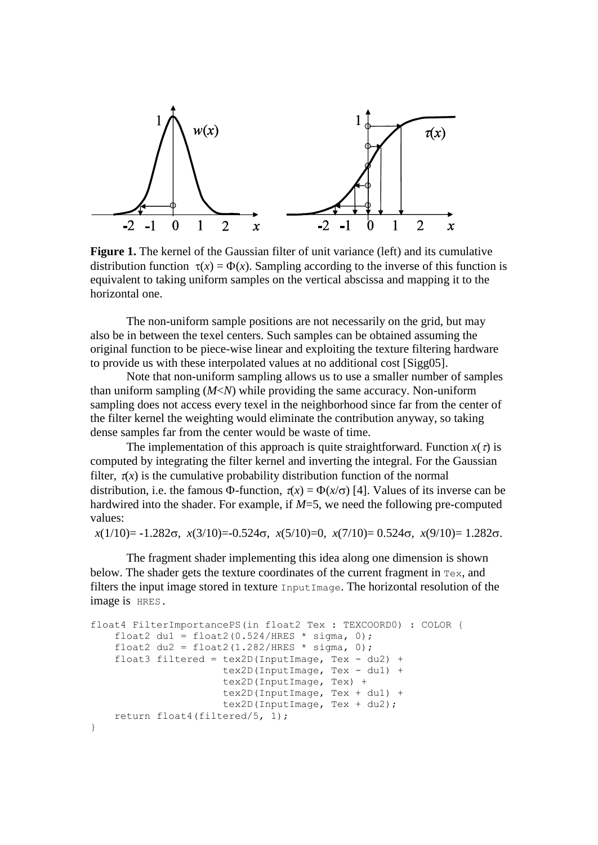

**Figure 1.** The kernel of the Gaussian filter of unit variance (left) and its cumulative distribution function  $\tau(x) = \Phi(x)$ . Sampling according to the inverse of this function is equivalent to taking uniform samples on the vertical abscissa and mapping it to the horizontal one.

The non-uniform sample positions are not necessarily on the grid, but may also be in between the texel centers. Such samples can be obtained assuming the original function to be piece-wise linear and exploiting the texture filtering hardware to provide us with these interpolated values at no additional cost [Sigg05].

Note that non-uniform sampling allows us to use a smaller number of samples than uniform sampling (*M*<*N*) while providing the same accuracy. Non-uniform sampling does not access every texel in the neighborhood since far from the center of the filter kernel the weighting would eliminate the contribution anyway, so taking dense samples far from the center would be waste of time.

The implementation of this approach is quite straightforward. Function  $x(\tau)$  is computed by integrating the filter kernel and inverting the integral. For the Gaussian filter,  $\tau(x)$  is the cumulative probability distribution function of the normal distribution, i.e. the famous  $\Phi$ -function,  $\tau(x) = \Phi(x/\sigma)$  [4]. Values of its inverse can be hardwired into the shader. For example, if *M*=5, we need the following pre-computed values:

 $x(1/10) = -1.282\sigma$ ,  $x(3/10) = -0.524\sigma$ ,  $x(5/10) = 0$ ,  $x(7/10) = 0.524\sigma$ ,  $x(9/10) = 1.282\sigma$ .

The fragment shader implementing this idea along one dimension is shown below. The shader gets the texture coordinates of the current fragment in Tex, and filters the input image stored in texture InputImage. The horizontal resolution of the image is HRES.

```
float4 FilterImportancePS(in float2 Tex : TEXCOORD0) : COLOR {
   float2 du1 = float2(0.524/HRES * sigma, 0);
   float2 du2 = float2(1.282/HRES * sigma, 0);
 float3 filtered = tex2D(InputImage, Tex - du2) +
 tex2D(InputImage, Tex - du1) +
 tex2D(InputImage, Tex) +
                    tex2D(InputImage, Tex + du1) +
                   tex2D(InputImage, Tex + du2);
    return float4(filtered/5, 1);
}
```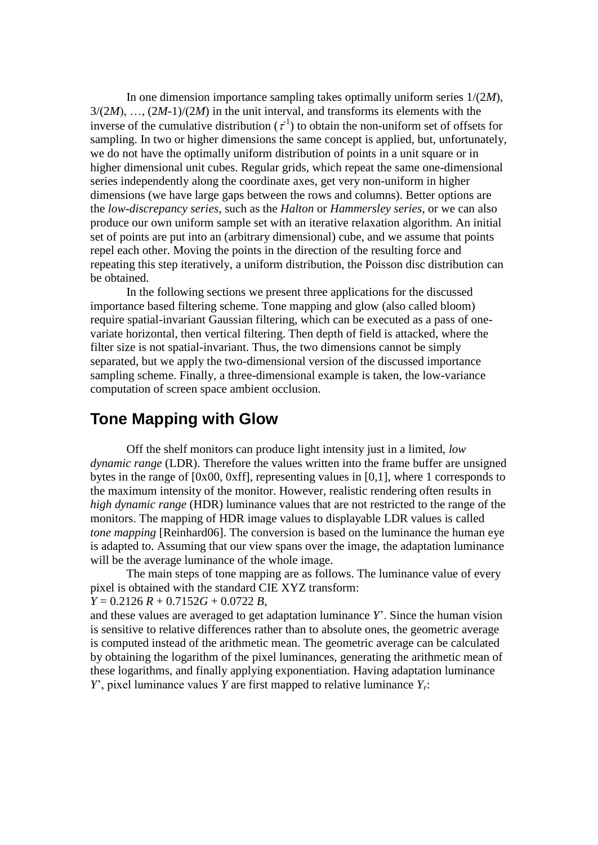In one dimension importance sampling takes optimally uniform series 1/(2*M*),  $3/(2M)$ , ...,  $(2M-1)/(2M)$  in the unit interval, and transforms its elements with the inverse of the cumulative distribution  $(\tau^1)$  to obtain the non-uniform set of offsets for sampling. In two or higher dimensions the same concept is applied, but, unfortunately, we do not have the optimally uniform distribution of points in a unit square or in higher dimensional unit cubes. Regular grids, which repeat the same one-dimensional series independently along the coordinate axes, get very non-uniform in higher dimensions (we have large gaps between the rows and columns). Better options are the *low-discrepancy series*, such as the *Halton* or *Hammersley series*, or we can also produce our own uniform sample set with an iterative relaxation algorithm. An initial set of points are put into an (arbitrary dimensional) cube, and we assume that points repel each other. Moving the points in the direction of the resulting force and repeating this step iteratively, a uniform distribution, the Poisson disc distribution can be obtained.

In the following sections we present three applications for the discussed importance based filtering scheme. Tone mapping and glow (also called bloom) require spatial-invariant Gaussian filtering, which can be executed as a pass of onevariate horizontal, then vertical filtering. Then depth of field is attacked, where the filter size is not spatial-invariant. Thus, the two dimensions cannot be simply separated, but we apply the two-dimensional version of the discussed importance sampling scheme. Finally, a three-dimensional example is taken, the low-variance computation of screen space ambient occlusion.

## **Tone Mapping with Glow**

Off the shelf monitors can produce light intensity just in a limited, *low dynamic range* (LDR). Therefore the values written into the frame buffer are unsigned bytes in the range of [0x00, 0xff], representing values in [0,1], where 1 corresponds to the maximum intensity of the monitor. However, realistic rendering often results in *high dynamic range* (HDR) luminance values that are not restricted to the range of the monitors. The mapping of HDR image values to displayable LDR values is called *tone mapping* [Reinhard06]. The conversion is based on the luminance the human eye is adapted to. Assuming that our view spans over the image, the adaptation luminance will be the average luminance of the whole image.

The main steps of tone mapping are as follows. The luminance value of every pixel is obtained with the standard CIE XYZ transform:

#### *Y* = 0.2126 *R* + 0.7152*G* + 0.0722 *B*,

and these values are averaged to get adaptation luminance *Y*'. Since the human vision is sensitive to relative differences rather than to absolute ones, the geometric average is computed instead of the arithmetic mean. The geometric average can be calculated by obtaining the logarithm of the pixel luminances, generating the arithmetic mean of these logarithms, and finally applying exponentiation. Having adaptation luminance *Y*', pixel luminance values *Y* are first mapped to relative luminance *Yr*: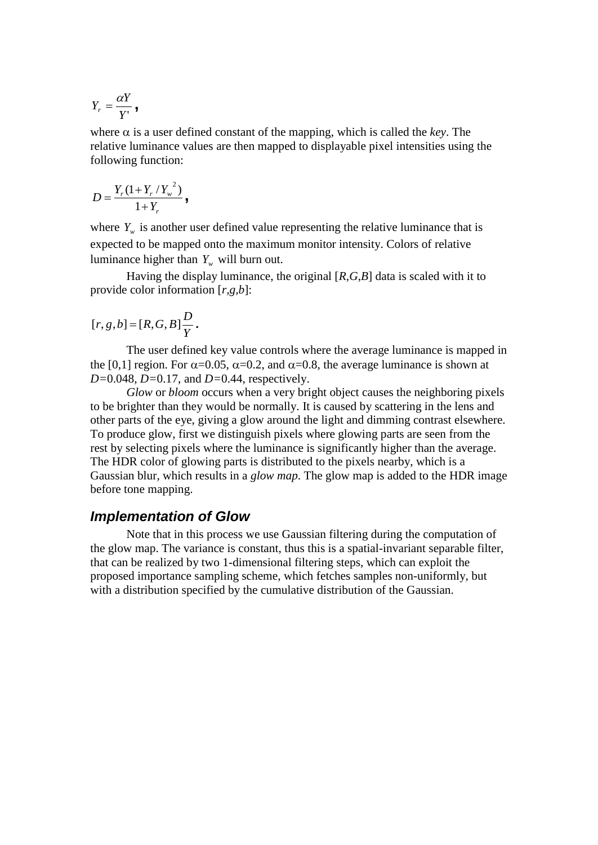$$
Y_r=\frac{\alpha Y}{Y^{\prime}},
$$

where  $\alpha$  is a user defined constant of the mapping, which is called the *key*. The relative luminance values are then mapped to displayable pixel intensities using the following function:

$$
D = \frac{Y_r (1 + Y_r / Y_w^2)}{1 + Y_r},
$$

where  $Y_w$  is another user defined value representing the relative luminance that is expected to be mapped onto the maximum monitor intensity. Colors of relative luminance higher than  $Y_w$  will burn out.

Having the display luminance, the original [*R,G,B*] data is scaled with it to provide color information [*r,g,b*]:

$$
[r, g, b] = [R, G, B] \frac{D}{Y}.
$$

The user defined key value controls where the average luminance is mapped in the [0,1] region. For  $\alpha$ =0.05,  $\alpha$ =0.2, and  $\alpha$ =0.8, the average luminance is shown at *D=*0.048*, D=*0.17, and *D=*0.44, respectively.

*Glow* or *bloom* occurs when a very bright object causes the neighboring pixels to be brighter than they would be normally. It is caused by scattering in the lens and other parts of the eye, giving a glow around the light and dimming contrast elsewhere. To produce glow, first we distinguish pixels where glowing parts are seen from the rest by selecting pixels where the luminance is significantly higher than the average. The HDR color of glowing parts is distributed to the pixels nearby, which is a Gaussian blur, which results in a *glow map*. The glow map is added to the HDR image before tone mapping.

#### *Implementation of Glow*

Note that in this process we use Gaussian filtering during the computation of the glow map. The variance is constant, thus this is a spatial-invariant separable filter, that can be realized by two 1-dimensional filtering steps, which can exploit the proposed importance sampling scheme, which fetches samples non-uniformly, but with a distribution specified by the cumulative distribution of the Gaussian.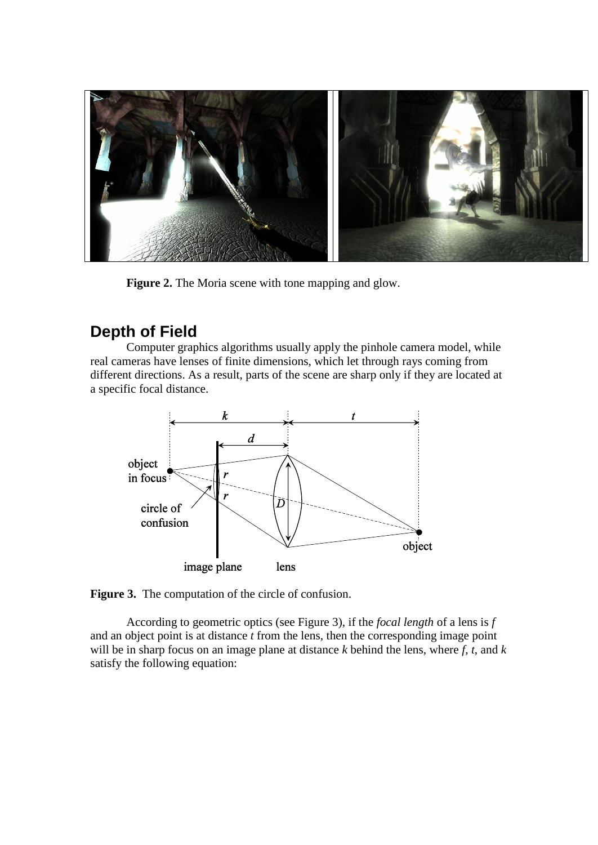

Figure 2. The Moria scene with tone mapping and glow.

# **Depth of Field**

Computer graphics algorithms usually apply the pinhole camera model, while real cameras have lenses of finite dimensions, which let through rays coming from different directions. As a result, parts of the scene are sharp only if they are located at a specific focal distance.



**Figure 3.** The computation of the circle of confusion.

According to geometric optics (see Figure 3), if the *focal length* of a lens is *f* and an object point is at distance *t* from the lens, then the corresponding image point will be in sharp focus on an image plane at distance *k* behind the lens, where *f*, *t*, and *k* satisfy the following equation: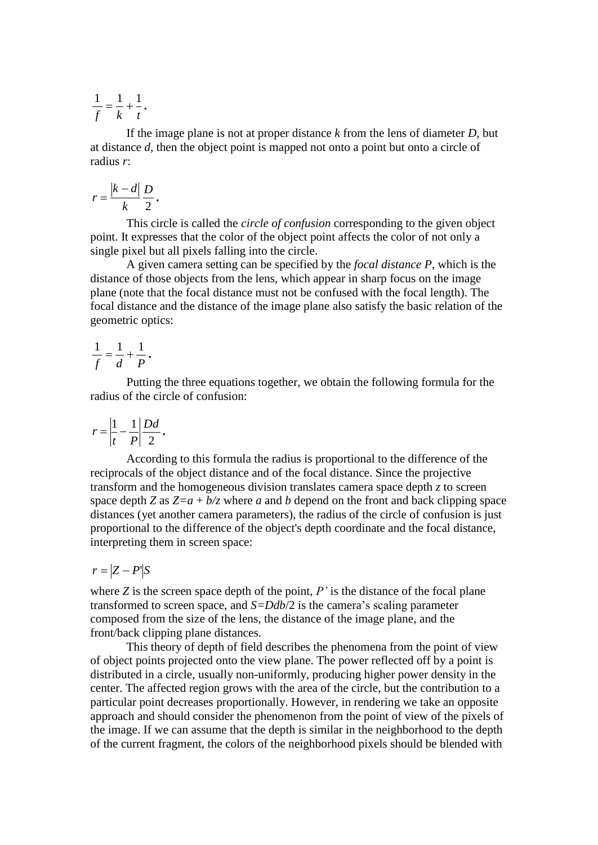*f k t*  $\frac{1}{c} = \frac{1}{1} + \frac{1}{1}$ .

If the image plane is not at proper distance *k* from the lens of diameter *D*, but at distance *d*, then the object point is mapped not onto a point but onto a circle of radius *r*:

$$
r = \frac{|k - d|}{k} \frac{D}{2}.
$$

This circle is called the *circle of confusion* corresponding to the given object point. It expresses that the color of the object point affects the color of not only a single pixel but all pixels falling into the circle.

A given camera setting can be specified by the *focal distance P*, which is the distance of those objects from the lens, which appear in sharp focus on the image plane (note that the focal distance must not be confused with the focal length). The focal distance and the distance of the image plane also satisfy the basic relation of the geometric optics:

$$
\frac{1}{f} = \frac{1}{d} + \frac{1}{P}.
$$

Putting the three equations together, we obtain the following formula for the radius of the circle of confusion:

$$
r = \left|\frac{1}{t} - \frac{1}{P}\right| \frac{Dd}{2}.
$$

According to this formula the radius is proportional to the difference of the reciprocals of the object distance and of the focal distance. Since the projective transform and the homogeneous division translates camera space depth *z* to screen space depth *Z* as  $Z=a + b/z$  where *a* and *b* depend on the front and back clipping space distances (yet another camera parameters), the radius of the circle of confusion is just proportional to the difference of the object's depth coordinate and the focal distance, interpreting them in screen space:

$$
r = |Z - P|S
$$

where *Z* is the screen space depth of the point, *P'* is the distance of the focal plane transformed to screen space, and *S=Ddb*/2 is the camera's scaling parameter composed from the size of the lens, the distance of the image plane, and the front/back clipping plane distances.

This theory of depth of field describes the phenomena from the point of view of object points projected onto the view plane. The power reflected off by a point is distributed in a circle, usually non-uniformly, producing higher power density in the center. The affected region grows with the area of the circle, but the contribution to a particular point decreases proportionally. However, in rendering we take an opposite approach and should consider the phenomenon from the point of view of the pixels of the image. If we can assume that the depth is similar in the neighborhood to the depth of the current fragment, the colors of the neighborhood pixels should be blended with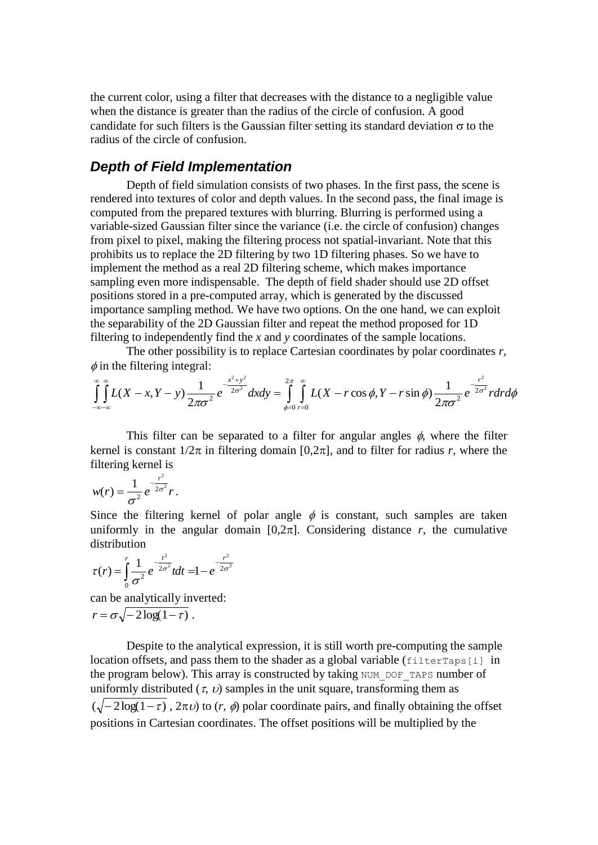the current color, using a filter that decreases with the distance to a negligible value when the distance is greater than the radius of the circle of confusion. A good candidate for such filters is the Gaussian filter setting its standard deviation  $\sigma$  to the radius of the circle of confusion.

#### *Depth of Field Implementation*

Depth of field simulation consists of two phases. In the first pass, the scene is rendered into textures of color and depth values. In the second pass, the final image is computed from the prepared textures with blurring. Blurring is performed using a variable-sized Gaussian filter since the variance (i.e. the circle of confusion) changes from pixel to pixel, making the filtering process not spatial-invariant. Note that this prohibits us to replace the 2D filtering by two 1D filtering phases. So we have to implement the method as a real 2D filtering scheme, which makes importance sampling even more indispensable. The depth of field shader should use 2D offset positions stored in a pre-computed array, which is generated by the discussed importance sampling method. We have two options. On the one hand, we can exploit the separability of the 2D Gaussian filter and repeat the method proposed for 1D filtering to independently find the *x* and *y* coordinates of the sample locations.

The other possibility is to replace Cartesian coordinates by polar coordinates *r,*  $\phi$  in the filtering integral:

$$
\int_{-\infty-\infty}^{\infty} L(X-x,Y-y) \frac{1}{2\pi\sigma^2} e^{-\frac{x^2+y^2}{2\sigma^2}} dx dy = \int_{\phi=0}^{2\pi} \int_{r=0}^{\infty} L(X-r\cos\phi,Y-r\sin\phi) \frac{1}{2\pi\sigma^2} e^{-\frac{r^2}{2\sigma^2}} r dr d\phi
$$

This filter can be separated to a filter for angular angles  $\phi$ , where the filter kernel is constant  $1/2\pi$  in filtering domain [0,2 $\pi$ ], and to filter for radius *r*, where the filtering kernel is

$$
w(r)=\frac{1}{\sigma^2}e^{-\frac{r^2}{2\sigma^2}}r.
$$

Since the filtering kernel of polar angle  $\phi$  is constant, such samples are taken uniformly in the angular domain  $[0,2\pi]$ . Considering distance *r*, the cumulative distribution

$$
\tau(r) = \int_{0}^{r} \frac{1}{\sigma^2} e^{-\frac{t^2}{2\sigma^2}} t dt = 1 - e^{-\frac{r^2}{2\sigma^2}}
$$

can be analytically inverted:  $r = \sigma \sqrt{-2 \log(1-\tau)}$ .

Despite to the analytical expression, it is still worth pre-computing the sample location offsets, and pass them to the shader as a global variable (filterTaps[i] in the program below). This array is constructed by taking NUM\_DOF\_TAPS number of uniformly distributed  $(\tau, \nu)$  samples in the unit square, transforming them as  $(\sqrt{-2\log(1-\tau)}$ ,  $2\pi\nu$ ) to  $(r, \phi)$  polar coordinate pairs, and finally obtaining the offset positions in Cartesian coordinates. The offset positions will be multiplied by the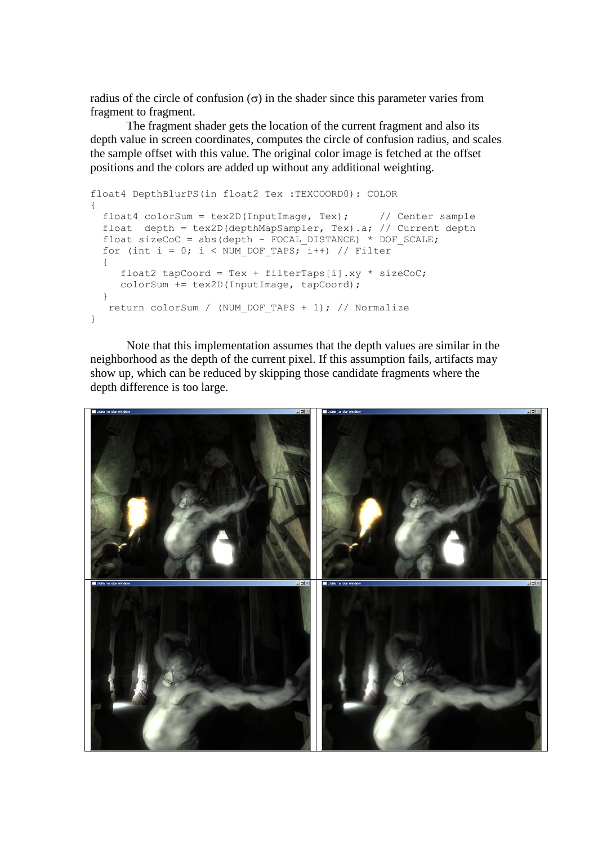radius of the circle of confusion  $(\sigma)$  in the shader since this parameter varies from fragment to fragment.

The fragment shader gets the location of the current fragment and also its depth value in screen coordinates, computes the circle of confusion radius, and scales the sample offset with this value. The original color image is fetched at the offset positions and the colors are added up without any additional weighting.

```
float4 DepthBlurPS(in float2 Tex :TEXCOORD0): COLOR
{
 float4 colorSum = tex2D(InputImage, Tex); // Center sample
  float depth = tex2D(depthMapSampler, Tex).a; // Current depth
 float sizeCoC = abs(depth - FOCAL DISTANCE) * DOF SCALE;
 for (int i = 0; i < NUM DOF TAPS; \bar{i}++) // Filter
\left\{\right.float2 tapCoord = Tex + filterTaps[i].xy * sizeCoC;
      colorSum += tex2D(InputImage, tapCoord);
  } 
   return colorSum / (NUM_DOF_TAPS + 1); // Normalize
}
```
Note that this implementation assumes that the depth values are similar in the neighborhood as the depth of the current pixel. If this assumption fails, artifacts may show up, which can be reduced by skipping those candidate fragments where the depth difference is too large.

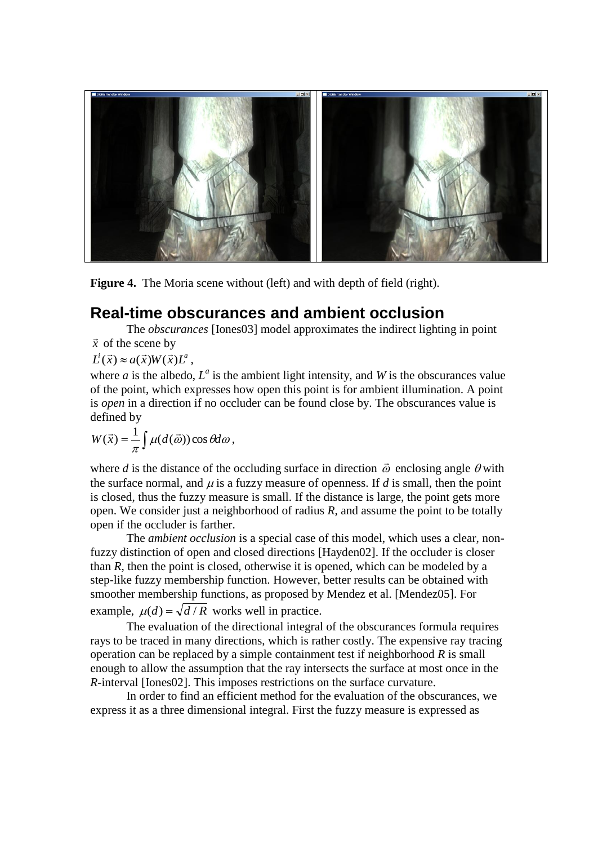

**Figure 4.** The Moria scene without (left) and with depth of field (right).

## **Real-time obscurances and ambient occlusion**

The *obscurances* [Iones03] model approximates the indirect lighting in point  $\vec{x}$  of the scene by

 $L^i(\vec{x}) \approx a(\vec{x})W(\vec{x})L^a$ ,

where  $a$  is the albedo,  $L^a$  is the ambient light intensity, and  $W$  is the obscurances value of the point, which expresses how open this point is for ambient illumination. A point is *open* in a direction if no occluder can be found close by. The obscurances value is defined by

$$
W(\vec{x}) = \frac{1}{\pi} \int \mu(d(\vec{\omega})) \cos \theta d\omega,
$$

where *d* is the distance of the occluding surface in direction  $\vec{\omega}$  enclosing angle  $\theta$  with the surface normal, and  $\mu$  is a fuzzy measure of openness. If  $d$  is small, then the point is closed, thus the fuzzy measure is small. If the distance is large, the point gets more open. We consider just a neighborhood of radius *R*, and assume the point to be totally open if the occluder is farther.

The *ambient occlusion* is a special case of this model, which uses a clear, nonfuzzy distinction of open and closed directions [Hayden02]. If the occluder is closer than *R*, then the point is closed, otherwise it is opened, which can be modeled by a step-like fuzzy membership function. However, better results can be obtained with smoother membership functions, as proposed by Mendez et al. [Mendez05]. For example,  $\mu(d) = \sqrt{d/R}$  works well in practice.

The evaluation of the directional integral of the obscurances formula requires rays to be traced in many directions, which is rather costly. The expensive ray tracing operation can be replaced by a simple containment test if neighborhood *R* is small enough to allow the assumption that the ray intersects the surface at most once in the *R*-interval [Iones02]. This imposes restrictions on the surface curvature.

In order to find an efficient method for the evaluation of the obscurances, we express it as a three dimensional integral. First the fuzzy measure is expressed as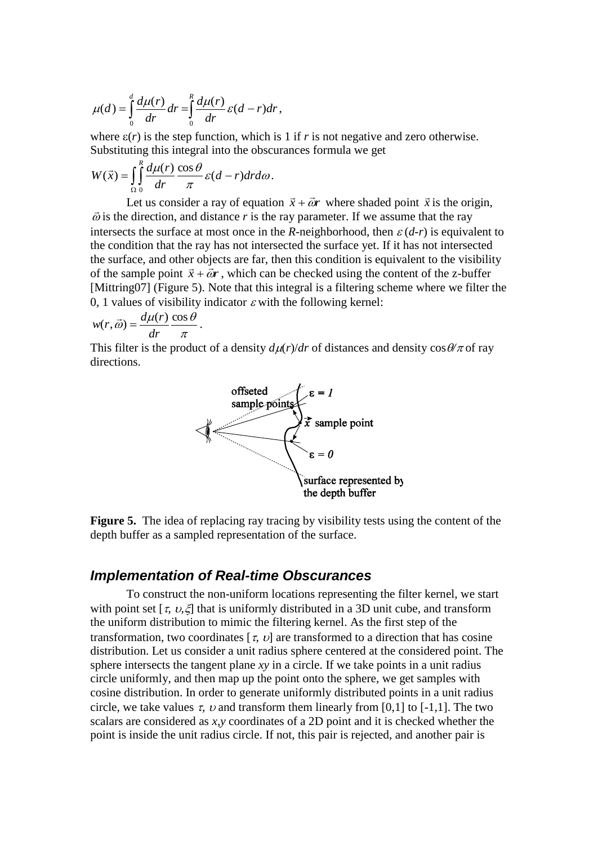$$
\mu(d) = \int_0^d \frac{d\mu(r)}{dr} dr = \int_0^R \frac{d\mu(r)}{dr} \varepsilon(d-r) dr,
$$

where  $\varepsilon(r)$  is the step function, which is 1 if *r* is not negative and zero otherwise. Substituting this integral into the obscurances formula we get

$$
W(\vec{x}) = \int_{\Omega} \int_0^R \frac{d\mu(r)}{dr} \frac{\cos \theta}{\pi} \varepsilon (d-r) dr d\omega.
$$

Let us consider a ray of equation  $\vec{x} + \vec{\omega}r$  where shaded point  $\vec{x}$  is the origin,  $\vec{\omega}$  is the direction, and distance *r* is the ray parameter. If we assume that the ray intersects the surface at most once in the *R*-neighborhood, then  $\varepsilon$  (*d-r*) is equivalent to the condition that the ray has not intersected the surface yet. If it has not intersected the surface, and other objects are far, then this condition is equivalent to the visibility of the sample point  $\vec{x} + \vec{\omega}r$ , which can be checked using the content of the z-buffer [Mittring07] (Figure 5). Note that this integral is a filtering scheme where we filter the 0, 1 values of visibility indicator  $\varepsilon$  with the following kernel:

$$
w(r, \vec{\omega}) = \frac{d\mu(r)}{dr} \frac{\cos \theta}{\pi}.
$$

This filter is the product of a density  $d\mu(r)/dr$  of distances and density  $\cos\theta/\pi$  of ray directions.



**Figure 5.** The idea of replacing ray tracing by visibility tests using the content of the depth buffer as a sampled representation of the surface.

#### *Implementation of Real-time Obscurances*

To construct the non-uniform locations representing the filter kernel, we start with point set  $[\tau, \nu, \xi]$  that is uniformly distributed in a 3D unit cube, and transform the uniform distribution to mimic the filtering kernel. As the first step of the transformation, two coordinates  $[\tau, \nu]$  are transformed to a direction that has cosine distribution. Let us consider a unit radius sphere centered at the considered point. The sphere intersects the tangent plane *xy* in a circle. If we take points in a unit radius circle uniformly, and then map up the point onto the sphere, we get samples with cosine distribution. In order to generate uniformly distributed points in a unit radius circle, we take values  $\tau$ ,  $\upsilon$  and transform them linearly from [0,1] to [-1,1]. The two scalars are considered as *x,y* coordinates of a 2D point and it is checked whether the point is inside the unit radius circle. If not, this pair is rejected, and another pair is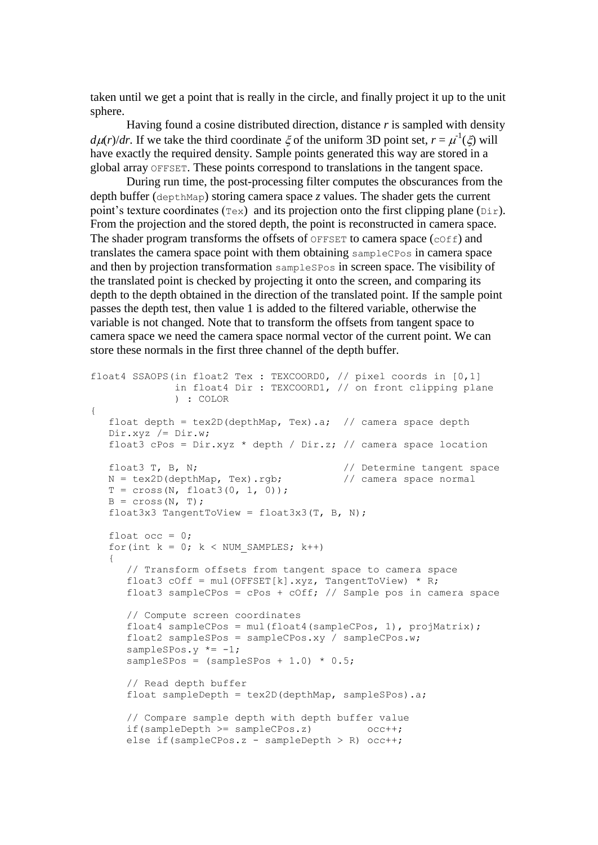taken until we get a point that is really in the circle, and finally project it up to the unit sphere.

Having found a cosine distributed direction, distance *r* is sampled with density  $d\mu(r)/dr$ . If we take the third coordinate  $\xi$  of the uniform 3D point set,  $r = \mu^{-1}(\xi)$  will have exactly the required density. Sample points generated this way are stored in a global array OFFSET. These points correspond to translations in the tangent space.

During run time, the post-processing filter computes the obscurances from the depth buffer (depthMap) storing camera space *z* values. The shader gets the current point's texture coordinates ( $T \notin \mathbb{R}$ ) and its projection onto the first clipping plane ( $\text{Dir}$ ). From the projection and the stored depth, the point is reconstructed in camera space. The shader program transforms the offsets of OFFSET to camera space (cOff) and translates the camera space point with them obtaining sampleCPos in camera space and then by projection transformation sampleSPos in screen space. The visibility of the translated point is checked by projecting it onto the screen, and comparing its depth to the depth obtained in the direction of the translated point. If the sample point passes the depth test, then value 1 is added to the filtered variable, otherwise the variable is not changed. Note that to transform the offsets from tangent space to camera space we need the camera space normal vector of the current point. We can store these normals in the first three channel of the depth buffer.

```
float4 SSAOPS(in float2 Tex : TEXCOORD0, // pixel coords in [0,1]
               in float4 Dir : TEXCOORD1, // on front clipping plane
               ) : COLOR
{
  float depth = text2D(depthMap, Tex).a; // camera space depth
    Dir.xyz /= Dir.w;
   float3 cPos = Dir.xyz * depth / Dir.z; // camera space location
  float3 T, B, N; \frac{1}{2} // Determine tangent space
  N = \text{tex2D}(\text{depthMap}, \text{Text}), \text{rgb}; // camera space normal
   T = cross(N, float3(0, 1, 0));B = cross(N, T);float3x3 TangentToView = float3x3(T, B, N);
   float occ = 0;
   for(int k = 0; k < NUM SAMPLES; k++)
\left\{\begin{array}{ccc} \end{array}\right. // Transform offsets from tangent space to camera space
       float3 cOff = mul(OFFSET[k].xyz, TangentToView) * R;
      float3 sampleCPos = cPos + cOff; // Sample pos in camera space
       // Compute screen coordinates
       float4 sampleCPos = mul(float4(sampleCPos, 1), projMatrix);
       float2 sampleSPos = sampleCPos.xy / sampleCPos.w;
      sampleSPos.y *=-1;
      sampleSPos = (samplesPos + 1.0) * 0.5; // Read depth buffer
       float sampleDepth = tex2D(depthMap, sampleSPos).a;
       // Compare sample depth with depth buffer value
      if(sampleDepth >= sampleCPos.z) occ++;
      else if(sampleCPos.z - sampleDepth > R) occ++;
```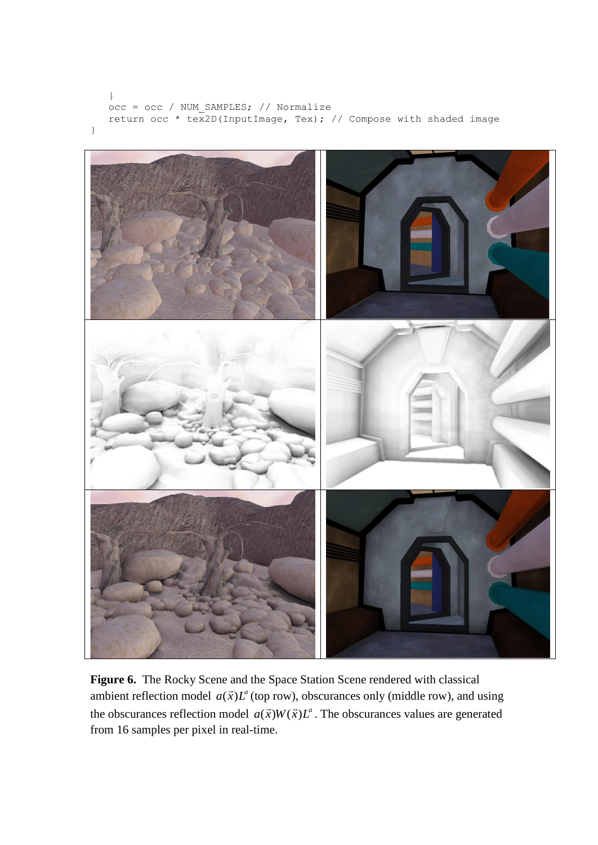```
 }
    occ = occ / NUM_SAMPLES; // Normalize
   return occ * tex2D(InputImage, Tex); // Compose with shaded image
}
```


**Figure 6.** The Rocky Scene and the Space Station Scene rendered with classical ambient reflection model  $a(\vec{x})L^a$  (top row), obscurances only (middle row), and using the obscurances reflection model  $a(\vec{x})W(\vec{x})L^a$ . The obscurances values are generated from 16 samples per pixel in real-time.